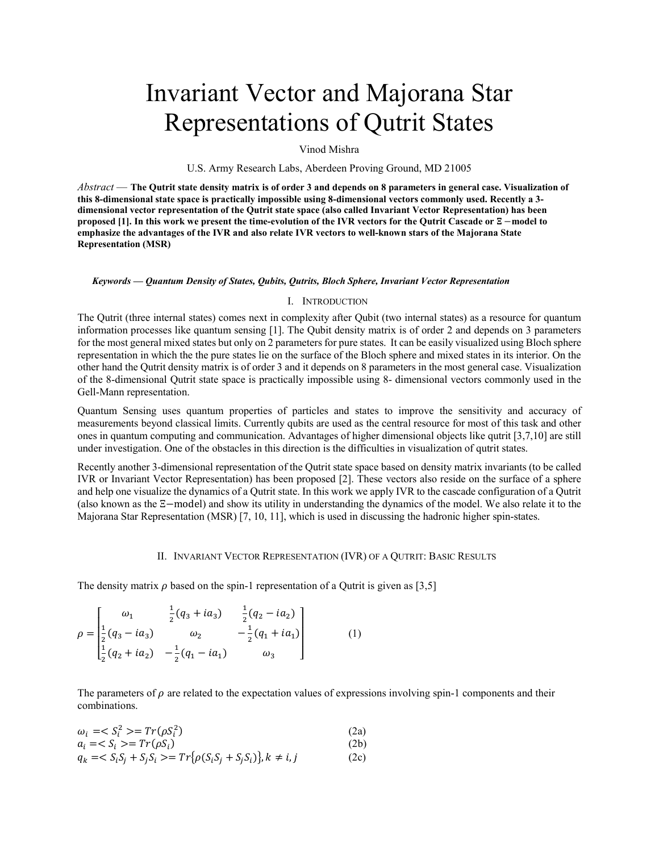# Invariant Vector and Majorana Star Representations of Qutrit States

Vinod Mishra

U.S. Army Research Labs, Aberdeen Proving Ground, MD 21005

*Abstract* — **The Qutrit state density matrix is of order 3 and depends on 8 parameters in general case. Visualization of this 8-dimensional state space is practically impossible using 8-dimensional vectors commonly used. Recently a 3 dimensional vector representation of the Qutrit state space (also called Invariant Vector Representation) has been proposed [1]. In this work we present the time-evolution of the IVR vectors for the Qutrit Cascade or**  −**model to emphasize the advantages of the IVR and also relate IVR vectors to well-known stars of the Majorana State Representation (MSR)**

#### *Keywords — Quantum Density of States, Qubits, Qutrits, Bloch Sphere, Invariant Vector Representation*

#### I. INTRODUCTION

The Qutrit (three internal states) comes next in complexity after Qubit (two internal states) as a resource for quantum information processes like quantum sensing [1]. The Qubit density matrix is of order 2 and depends on 3 parameters for the most general mixed states but only on 2 parameters for pure states. It can be easily visualized using Bloch sphere representation in which the the pure states lie on the surface of the Bloch sphere and mixed states in its interior. On the other hand the Qutrit density matrix is of order 3 and it depends on 8 parameters in the most general case. Visualization of the 8-dimensional Qutrit state space is practically impossible using 8- dimensional vectors commonly used in the Gell-Mann representation.

Quantum Sensing uses quantum properties of particles and states to improve the sensitivity and accuracy of measurements beyond classical limits. Currently qubits are used as the central resource for most of this task and other ones in quantum computing and communication. Advantages of higher dimensional objects like qutrit [3,7,10] are still under investigation. One of the obstacles in this direction is the difficulties in visualization of qutrit states.

Recently another 3-dimensional representation of the Qutrit state space based on density matrix invariants (to be called IVR or Invariant Vector Representation) has been proposed [2]. These vectors also reside on the surface of a sphere and help one visualize the dynamics of a Qutrit state. In this work we apply IVR to the cascade configuration of a Qutrit (also known as the Ξ−model) and show its utility in understanding the dynamics of the model. We also relate it to the Majorana Star Representation (MSR) [7, 10, 11], which is used in discussing the hadronic higher spin-states.

## II. INVARIANT VECTOR REPRESENTATION (IVR) OF A QUTRIT: BASIC RESULTS

The density matrix  $\rho$  based on the spin-1 representation of a Qutrit is given as [3,5]

$$
\rho = \begin{bmatrix} \omega_1 & \frac{1}{2}(q_3 + ia_3) & \frac{1}{2}(q_2 - ia_2) \\ \frac{1}{2}(q_3 - ia_3) & \omega_2 & -\frac{1}{2}(q_1 + ia_1) \\ \frac{1}{2}(q_2 + ia_2) & -\frac{1}{2}(q_1 - ia_1) & \omega_3 \end{bmatrix}
$$
(1)

The parameters of  $\rho$  are related to the expectation values of expressions involving spin-1 components and their combinations.

| $\omega_i = S_i^2 >= Tr(\rho S_i^2)$                                          | (2a) |
|-------------------------------------------------------------------------------|------|
| $a_i = S_i \geq T r(\rho S_i)$                                                | (2b) |
| $q_k = S_i S_j + S_j S_i \geq T r \{ \rho(S_i S_j + S_j S_i) \}, k \neq i, j$ | (2c) |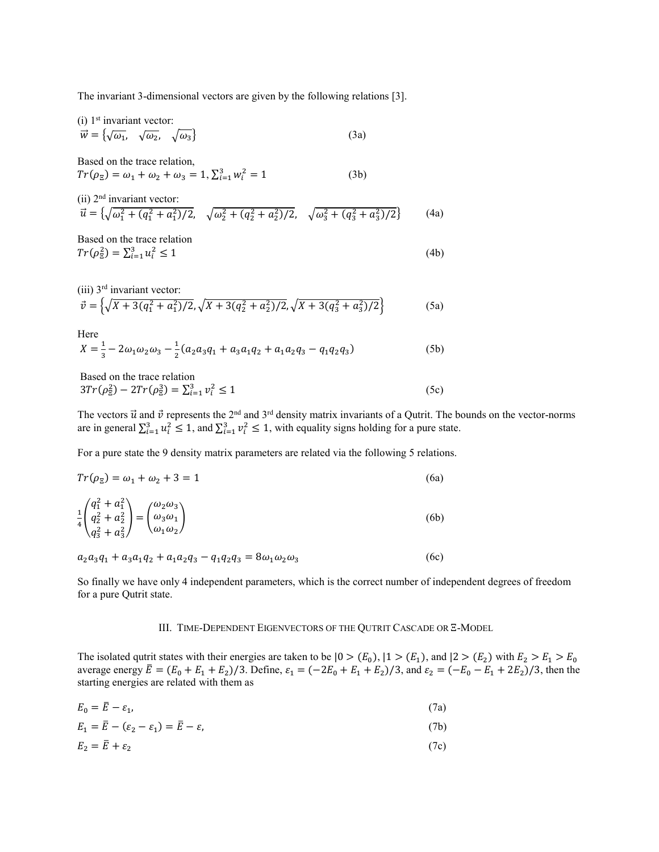The invariant 3-dimensional vectors are given by the following relations [3].

 $(i)$  1<sup>st</sup> invariant vector:

$$
\vec{w} = \{ \sqrt{\omega_1}, \quad \sqrt{\omega_2}, \quad \sqrt{\omega_3} \}
$$
 (3a)

Based on the trace relation,  $Tr(\rho_{\overline{z}}) = \omega_1 + \omega_2 + \omega_3 = 1, \sum_{i=1}^{3} w_i^2 = 1$  (3b)

(ii) 2<sup>nd</sup> invariant vector:  
\n
$$
\vec{u} = \{ \sqrt{\omega_1^2 + (q_1^2 + a_1^2)/2}, \quad \sqrt{\omega_2^2 + (q_2^2 + a_2^2)/2}, \quad \sqrt{\omega_3^2 + (q_3^2 + a_3^2)/2} \}
$$
\n(4a)

Based on the trace relation  $Tr(\rho_{\Sigma}^2) = \sum_{i=1}^3 u_i^2 \le 1$  (4b)

(iii) 3<sup>rd</sup> invariant vector:  
\n
$$
\vec{v} = \left\{ \sqrt{X + 3(q_1^2 + a_1^2)/2}, \sqrt{X + 3(q_2^2 + a_2^2)/2}, \sqrt{X + 3(q_3^2 + a_3^2)/2} \right\}
$$
\n(5a)

Here

$$
X = \frac{1}{3} - 2\omega_1 \omega_2 \omega_3 - \frac{1}{2} (a_2 a_3 q_1 + a_3 a_1 q_2 + a_1 a_2 q_3 - q_1 q_2 q_3)
$$
(5b)

Based on the trace relation  $3Tr(\rho_{\overline{z}}^2) - 2Tr(\rho_{\overline{z}}^3) = \sum_{i=1}^3 v_i^2 \le 1$  (5c)

The vectors  $\vec{u}$  and  $\vec{v}$  represents the 2<sup>nd</sup> and 3<sup>rd</sup> density matrix invariants of a Qutrit. The bounds on the vector-norms are in general  $\sum_{i=1}^{3} u_i^2 \leq 1$ , and  $\sum_{i=1}^{3} v_i^2 \leq 1$ , with equality signs holding for a pure state.

For a pure state the 9 density matrix parameters are related via the following 5 relations.

$$
Tr(\rho_{\Xi}) = \omega_1 + \omega_2 + 3 = 1
$$
\n(6a)  
\n
$$
\frac{1}{4} \begin{pmatrix} q_1^2 + a_1^2 \\ q_2^2 + a_2^2 \\ q_3^2 + a_3^2 \end{pmatrix} = \begin{pmatrix} \omega_2 \omega_3 \\ \omega_3 \omega_1 \\ \omega_1 \omega_2 \end{pmatrix}
$$
\n(6b)

 $a_2 a_3 q_1 + a_3 a_1 q_2 + a_1 a_2 q_3 - q_1 q_2 q_3 = 8\omega_1 \omega_2 \omega_3$  (6c)

So finally we have only 4 independent parameters, which is the correct number of independent degrees of freedom for a pure Qutrit state.

# III. TIME-DEPENDENT EIGENVECTORS OF THE QUTRIT CASCADE OR Ξ-MODEL

The isolated qutrit states with their energies are taken to be  $|0>(E_0), |1>(E_1),$  and  $|2>(E_2)$  with  $E_2>E_1>E_0$ average energy  $\bar{E} = (E_0 + E_1 + E_2)/3$ . Define,  $\varepsilon_1 = (-2E_0 + E_1 + E_2)/3$ , and  $\varepsilon_2 = (-E_0 - E_1 + 2E_2)/3$ , then the starting energies are related with them as

$$
E_0 = \overline{E} - \varepsilon_1,\tag{7a}
$$

$$
E_1 = \overline{E} - (\varepsilon_2 - \varepsilon_1) = \overline{E} - \varepsilon,\tag{7b}
$$

$$
E_2 = \bar{E} + \varepsilon_2 \tag{7c}
$$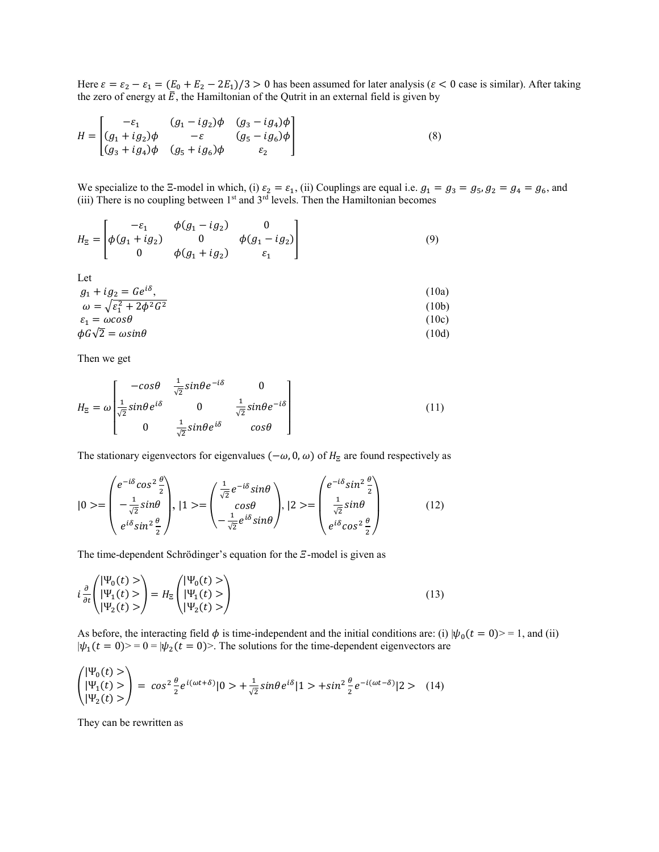Here  $\varepsilon = \varepsilon_2 - \varepsilon_1 = (E_0 + E_2 - 2E_1)/3 > 0$  has been assumed for later analysis ( $\varepsilon < 0$  case is similar). After taking the zero of energy at  $\bar{E}$ , the Hamiltonian of the Qutrit in an external field is given by

$$
H = \begin{bmatrix} -\varepsilon_1 & (g_1 - ig_2)\phi & (g_3 - ig_4)\phi \\ (g_1 + ig_2)\phi & -\varepsilon & (g_5 - ig_6)\phi \\ (g_3 + ig_4)\phi & (g_5 + ig_6)\phi & \varepsilon_2 \end{bmatrix}
$$
(8)

We specialize to the Ξ-model in which, (i)  $\varepsilon_2 = \varepsilon_1$ , (ii) Couplings are equal i.e.  $g_1 = g_3 = g_5$ ,  $g_2 = g_4 = g_6$ , and (iii) There is no coupling between  $1<sup>st</sup>$  and  $3<sup>rd</sup>$  levels. Then the Hamiltonian becomes

$$
H_{\Xi} = \begin{bmatrix} -\varepsilon_1 & \phi(g_1 - ig_2) & 0 \\ \phi(g_1 + ig_2) & 0 & \phi(g_1 - ig_2) \\ 0 & \phi(g_1 + ig_2) & \varepsilon_1 \end{bmatrix}
$$
(9)

Let

$$
g_1 + ig_2 = Ge^{i\delta},
$$
  
\n
$$
\omega = \sqrt{\varepsilon_1^2 + 2\phi^2 G^2}
$$
  
\n
$$
\varepsilon_1 = \omega cos\theta
$$
 (10a)  
\n(10b)  
\n(10c)

$$
\phi G \sqrt{2} = \omega \sin \theta \tag{10d}
$$

Then we get

$$
H_{\Xi} = \omega \begin{bmatrix} -\cos\theta & \frac{1}{\sqrt{2}}\sin\theta e^{-i\delta} & 0\\ \frac{1}{\sqrt{2}}\sin\theta e^{i\delta} & 0 & \frac{1}{\sqrt{2}}\sin\theta e^{-i\delta} \\ 0 & \frac{1}{\sqrt{2}}\sin\theta e^{i\delta} & \cos\theta \end{bmatrix}
$$
(11)

The stationary eigenvectors for eigenvalues ( $-\omega$ , 0,  $\omega$ ) of  $H_{\Xi}$  are found respectively as

$$
|0\rangle = \begin{pmatrix} e^{-i\delta}\cos^2\frac{\theta}{2} \\ -\frac{1}{\sqrt{2}}\sin\theta \\ e^{i\delta}\sin^2\frac{\theta}{2} \end{pmatrix}, |1\rangle = \begin{pmatrix} \frac{1}{\sqrt{2}}e^{-i\delta}\sin\theta \\ \cos\theta \\ -\frac{1}{\sqrt{2}}e^{i\delta}\sin\theta \end{pmatrix}, |2\rangle = \begin{pmatrix} e^{-i\delta}\sin^2\frac{\theta}{2} \\ \frac{1}{\sqrt{2}}\sin\theta \\ e^{i\delta}\cos^2\frac{\theta}{2} \end{pmatrix}
$$
(12)

The time-dependent Schrödinger's equation for the  $E$ -model is given as

$$
i\frac{\partial}{\partial t}\begin{pmatrix} |\Psi_0(t) > \\ |\Psi_1(t) > \\ |\Psi_2(t) > \end{pmatrix} = H_{\Xi}\begin{pmatrix} |\Psi_0(t) > \\ |\Psi_1(t) > \\ |\Psi_2(t) > \end{pmatrix}
$$
\n(13)

As before, the interacting field  $\phi$  is time-independent and the initial conditions are: (i)  $|\psi_0(t=0)\rangle = 1$ , and (ii)  $|\psi_1(t = 0)\rangle = 0 = |\psi_2(t = 0)\rangle$ . The solutions for the time-dependent eigenvectors are

$$
\begin{pmatrix} |\Psi_0(t) > \\ |\Psi_1(t) > \\ |\Psi_2(t) > \end{pmatrix} = \cos^2 \frac{\theta}{2} e^{i(\omega t + \delta)} |0> + \frac{1}{\sqrt{2}} \sin \theta e^{i\delta} |1> + \sin^2 \frac{\theta}{2} e^{-i(\omega t - \delta)} |2> (14)
$$

They can be rewritten as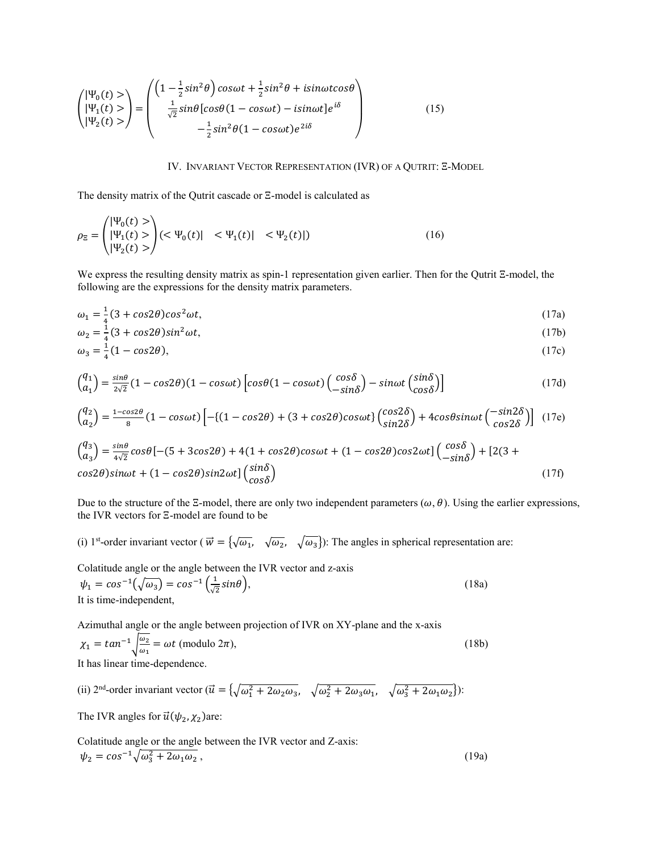$$
\begin{pmatrix} |\Psi_0(t) > \\ |\Psi_1(t) > \\ |\Psi_2(t) > \end{pmatrix} = \begin{pmatrix} \left(1 - \frac{1}{2}\sin^2\theta\right)\cos\omega t + \frac{1}{2}\sin^2\theta + i\sin\omega t\cos\theta \\ \frac{1}{\sqrt{2}}\sin\theta\left[\cos\theta(1 - \cos\omega t) - i\sin\omega t\right]e^{i\delta} \\ -\frac{1}{2}\sin^2\theta(1 - \cos\omega t)e^{2i\delta} \end{pmatrix}
$$
(15)

### IV. INVARIANT VECTOR REPRESENTATION (IVR) OF A QUTRIT: Ξ-MODEL

The density matrix of the Qutrit cascade or Ξ-model is calculated as

$$
\rho_{\Xi} = \begin{pmatrix} |\Psi_0(t) > \\ |\Psi_1(t) > \\ |\Psi_2(t) > \end{pmatrix} (<\Psi_0(t)| < \Psi_1(t)| < \Psi_2(t)|)
$$
\n(16)

We express the resulting density matrix as spin-1 representation given earlier. Then for the Qutrit Ξ-model, the following are the expressions for the density matrix parameters.

$$
\omega_1 = \frac{1}{4}(3 + \cos 2\theta)\cos^2 \omega t,\tag{17a}
$$

$$
\omega_2 = \frac{1}{4}(3 + \cos 2\theta)\sin^2 \omega t,\tag{17b}
$$

$$
\omega_3 = \frac{1}{4}(1 - \cos 2\theta),\tag{17c}
$$

$$
\binom{q_1}{a_1} = \frac{\sin\theta}{2\sqrt{2}} (1 - \cos 2\theta)(1 - \cos \omega t) \left[ \cos\theta (1 - \cos \omega t) \left( \frac{\cos \delta}{-\sin \delta} \right) - \sin \omega t \left( \frac{\sin \delta}{\cos \delta} \right) \right]
$$
(17d)

$$
\binom{q_2}{a_2} = \frac{1 - \cos 2\theta}{8} \left( 1 - \cos \omega t \right) \left[ - \left\{ \left( 1 - \cos 2\theta \right) + \left( 3 + \cos 2\theta \right) \cos \omega t \right\} \binom{\cos 2\delta}{\sin 2\delta} + 4\cos \theta \sin \omega t \binom{-\sin 2\delta}{\cos 2\delta} \right] \tag{17e}
$$

$$
\begin{pmatrix} q_3 \\ a_3 \end{pmatrix} = \frac{\sin \theta}{4\sqrt{2}} \cos \theta \left[ -(5 + 3\cos 2\theta) + 4(1 + \cos 2\theta)\cos \omega t + (1 - \cos 2\theta)\cos 2\omega t \right] \begin{pmatrix} \cos \delta \\ -\sin \delta \end{pmatrix} + [2(3 + \cos 2\theta)\sin \omega t + (1 - \cos 2\theta)\sin 2\omega t] \begin{pmatrix} \sin \delta \\ \cos \delta \end{pmatrix}
$$
\n(17f)

Due to the structure of the Ξ-model, there are only two independent parameters ( $\omega$ ,  $\theta$ ). Using the earlier expressions, the IVR vectors for Ξ-model are found to be

(i) 1<sup>st</sup>-order invariant vector ( $\vec{w} = {\sqrt{\omega_1}, \sqrt{\omega_2}, \sqrt{\omega_3}}$ ): The angles in spherical representation are:

Colatitude angle or the angle between the IVR vector and z-axis  $\psi_1 = \cos^{-1}(\sqrt{\omega_3}) = \cos^{-1}(\frac{1}{\sqrt{2}}\sin\theta),$  (18a) It is time-independent,

Azimuthal angle or the angle between projection of IVR on XY-plane and the x-axis  $\chi_1 = \tan^{-1} \sqrt{\frac{\omega_2}{\omega_1}} = \omega t \text{ (modulo } 2\pi\text{)},$ (18b) It has linear time-dependence.

(ii)  $2<sup>nd</sup>$ -order invariant vector  $(\vec{u} = \{\sqrt{\omega_1^2 + 2\omega_2\omega_3}, \sqrt{\omega_2^2 + 2\omega_3\omega_1}, \sqrt{\omega_3^2 + 2\omega_1\omega_2}\})$ :

The IVR angles for  $\vec{u}(\psi_2, \chi_2)$ are:

Colatitude angle or the angle between the IVR vector and Z-axis:  $\psi_2 = \cos^{-1} \sqrt{\omega_3^2 + 2\omega_1 \omega_2},$ (19a)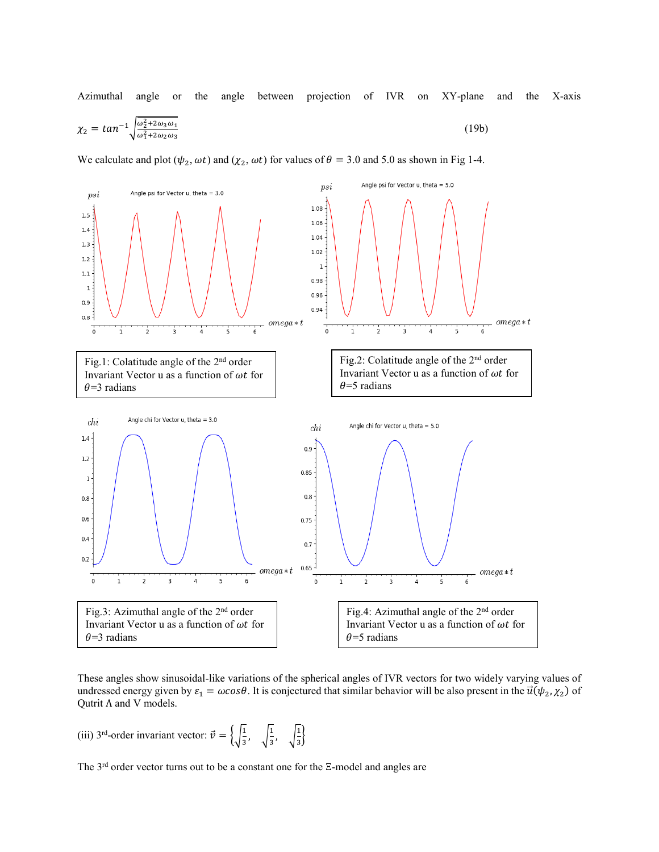Azimuthal angle or the angle between projection of IVR on XY-plane and the X-axis

$$
\chi_2 = \tan^{-1} \sqrt{\frac{\omega_2^2 + 2\omega_3 \omega_1}{\omega_1^2 + 2\omega_2 \omega_3}}
$$
(19b)

We calculate and plot  $(\psi_2, \omega t)$  and  $(\chi_2, \omega t)$  for values of  $\theta = 3.0$  and 5.0 as shown in Fig 1-4.



These angles show sinusoidal-like variations of the spherical angles of IVR vectors for two widely varying values of undressed energy given by  $\varepsilon_1 = \omega \cos \theta$ . It is conjectured that similar behavior will be also present in the  $\vec{u}(\psi_2, \chi_2)$  of Qutrit Λ and V models.

(iii) 3<sup>rd</sup>-order invariant vector:  $\vec{v} = \begin{cases} \sqrt{\frac{1}{3}}, & \sqrt{\frac{1}{3}}, \\ \sqrt{\frac{1}{3}}, & \sqrt{\frac{1}{3}} \end{cases}$ 

The 3rd order vector turns out to be a constant one for the Ξ-model and angles are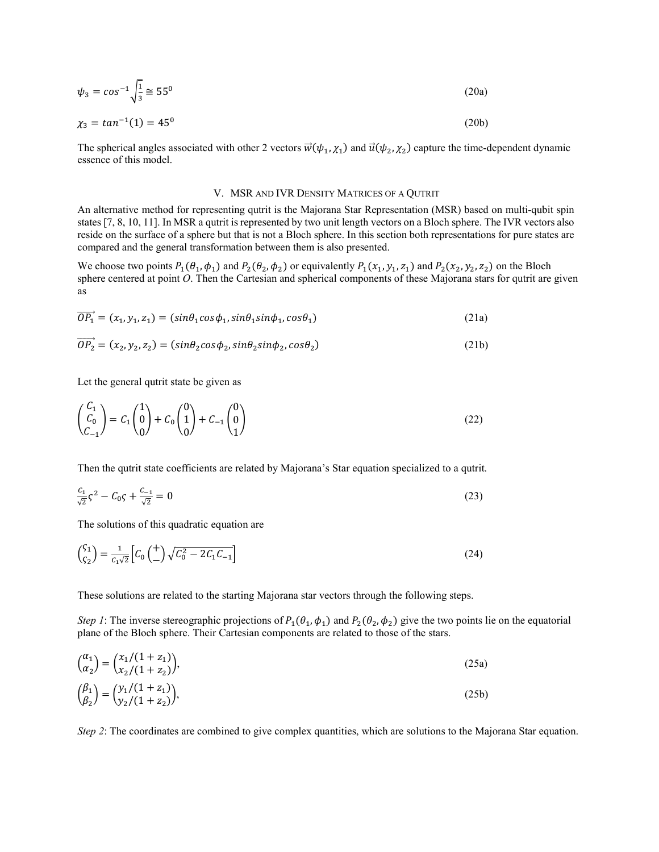$$
\psi_3 = \cos^{-1} \sqrt{\frac{1}{3}} \approx 55^0 \tag{20a}
$$

$$
\chi_3 = \tan^{-1}(1) = 45^0 \tag{20b}
$$

The spherical angles associated with other 2 vectors  $\vec{w}(\psi_1, \chi_1)$  and  $\vec{u}(\psi_2, \chi_2)$  capture the time-dependent dynamic essence of this model.

#### V. MSR AND IVR DENSITY MATRICES OF A QUTRIT

An alternative method for representing qutrit is the Majorana Star Representation (MSR) based on multi-qubit spin states [7, 8, 10, 11]. In MSR a qutrit is represented by two unit length vectors on a Bloch sphere. The IVR vectors also reside on the surface of a sphere but that is not a Bloch sphere. In this section both representations for pure states are compared and the general transformation between them is also presented.

We choose two points  $P_1(\theta_1,\phi_1)$  and  $P_2(\theta_2,\phi_2)$  or equivalently  $P_1(x_1, y_1, z_1)$  and  $P_2(x_2, y_2, z_2)$  on the Bloch sphere centered at point *O*. Then the Cartesian and spherical components of these Majorana stars for qutrit are given as

$$
\overline{OP_1} = (x_1, y_1, z_1) = (\sin \theta_1 \cos \phi_1, \sin \theta_1 \sin \phi_1, \cos \theta_1) \tag{21a}
$$

$$
OP2 = (x2, y2, z2) = (sin\theta2cos\phi2, sin\theta2sin\phi2, cos\theta2)
$$
\n(21b)

Let the general qutrit state be given as

$$
\begin{pmatrix} C_1 \\ C_0 \\ C_{-1} \end{pmatrix} = C_1 \begin{pmatrix} 1 \\ 0 \\ 0 \end{pmatrix} + C_0 \begin{pmatrix} 0 \\ 1 \\ 0 \end{pmatrix} + C_{-1} \begin{pmatrix} 0 \\ 0 \\ 1 \end{pmatrix}
$$
\n(22)

Then the qutrit state coefficients are related by Majorana's Star equation specialized to a qutrit.

$$
\frac{C_1}{\sqrt{2}}\zeta^2 - C_0\zeta + \frac{C_{-1}}{\sqrt{2}} = 0\tag{23}
$$

The solutions of this quadratic equation are

 $\mathbf{1}$ 

$$
\binom{\zeta_1}{\zeta_2} = \frac{1}{c_1 \sqrt{2}} \left[ C_0 \left( \frac{+}{-} \right) \sqrt{C_0^2 - 2C_1 C_{-1}} \right] \tag{24}
$$

These solutions are related to the starting Majorana star vectors through the following steps.

*Step 1*: The inverse stereographic projections of  $P_1(\theta_1,\phi_1)$  and  $P_2(\theta_2,\phi_2)$  give the two points lie on the equatorial plane of the Bloch sphere. Their Cartesian components are related to those of the stars.

$$
\begin{aligned}\n\binom{\alpha_1}{\alpha_2} &= \binom{x_1/(1+z_1)}{x_2/(1+z_2)},\\
\binom{\beta_1}{\beta_2} &= \binom{y_1/(1+z_1)}{y_2/(1+z_2)},\n\end{aligned} \tag{25b}
$$

*Step 2*: The coordinates are combined to give complex quantities, which are solutions to the Majorana Star equation.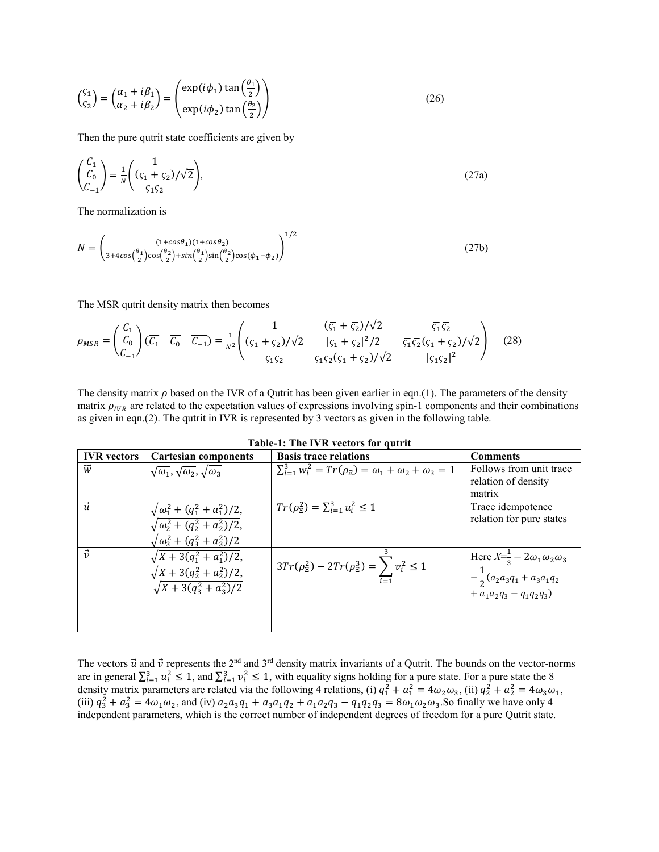$$
\begin{pmatrix} \zeta_1 \\ \zeta_2 \end{pmatrix} = \begin{pmatrix} \alpha_1 + i\beta_1 \\ \alpha_2 + i\beta_2 \end{pmatrix} = \begin{pmatrix} \exp(i\phi_1) \tan\left(\frac{\theta_1}{2}\right) \\ \exp(i\phi_2) \tan\left(\frac{\theta_2}{2}\right) \end{pmatrix}
$$
 (26)

Then the pure qutrit state coefficients are given by

$$
\begin{pmatrix} C_1 \\ C_0 \\ C_{-1} \end{pmatrix} = \frac{1}{N} \begin{pmatrix} 1 \\ (\zeta_1 + \zeta_2) / \sqrt{2} \\ \zeta_1 \zeta_2 \end{pmatrix},\tag{27a}
$$

The normalization is

$$
N = \left(\frac{(1 + \cos\theta_1)(1 + \cos\theta_2)}{3 + 4\cos\left(\frac{\theta_1}{2}\right)\cos\left(\frac{\theta_2}{2}\right) + \sin\left(\frac{\theta_1}{2}\right)\sin\left(\frac{\theta_2}{2}\right)\cos(\phi_1 - \phi_2)}\right)^{1/2}
$$
(27b)

The MSR qutrit density matrix then becomes

$$
\rho_{MSR} = \begin{pmatrix} C_1 \\ C_0 \\ C_{-1} \end{pmatrix} (\overline{C_1} \quad \overline{C_0} \quad \overline{C_{-1}}) = \frac{1}{N^2} \begin{pmatrix} 1 & (\overline{\varsigma_1} + \overline{\varsigma_2})/\sqrt{2} & \overline{\varsigma_1} \overline{\varsigma_2} \\ (\varsigma_1 + \varsigma_2)/\sqrt{2} & |\varsigma_1 + \varsigma_2|^2/2 & \overline{\varsigma_1} \overline{\varsigma_2} (\varsigma_1 + \varsigma_2)/\sqrt{2} \\ \overline{\varsigma_1} \overline{\varsigma_2} & \varsigma_1 \varsigma_2 (\overline{\varsigma_1} + \overline{\varsigma_2})/\sqrt{2} & |\varsigma_1 \varsigma_2|^2 \end{pmatrix} \tag{28}
$$

The density matrix  $\rho$  based on the IVR of a Qutrit has been given earlier in eqn.(1). The parameters of the density matrix  $\rho_{IVR}$  are related to the expectation values of expressions involving spin-1 components and their combinations as given in eqn.(2). The qutrit in IVR is represented by 3 vectors as given in the following table.

| Table-1. The TVIN Vectors for quility |                                                                |                                                                                       |                                                                                       |
|---------------------------------------|----------------------------------------------------------------|---------------------------------------------------------------------------------------|---------------------------------------------------------------------------------------|
| <b>IVR</b> vectors                    | <b>Cartesian components</b>                                    | <b>Basis trace relations</b>                                                          | <b>Comments</b>                                                                       |
| $\overrightarrow{w}$                  | $\sqrt{\omega_1}, \sqrt{\omega_2}, \sqrt{\omega_3}$            | $\sum_{i=1}^{3} w_i^2 = Tr(\rho_{\overline{z}}) = \omega_1 + \omega_2 + \omega_3 = 1$ | Follows from unit trace                                                               |
|                                       |                                                                |                                                                                       | relation of density                                                                   |
|                                       |                                                                |                                                                                       | matrix                                                                                |
| $\vec{u}$                             | $\sqrt{\omega_1^2 + (q_1^2 + a_1^2)/2},$                       | $Tr(\rho_{\rm E}^2) = \sum_{i=1}^3 u_i^2 \leq 1$                                      | Trace idempotence                                                                     |
|                                       | $\sqrt{\omega_2^2 + (q_2^2 + a_2^2)/2},$                       |                                                                                       | relation for pure states                                                              |
|                                       | $\sqrt{\omega_3^2 + (q_3^2 + a_3^2)/2}$                        |                                                                                       |                                                                                       |
| $\vec{v}$                             | $\sqrt{X+3(q_1^2+a_1^2)/2}$ ,<br>$\sqrt{X+3(q_2^2+a_2^2)/2}$ , | $3Tr(\rho_{\overline{z}}^2) - 2Tr(\rho_{\overline{z}}^3) = \sum v_i^2 \le 1$          | Here $X=\frac{1}{3}-2\omega_1\omega_2\omega_3$<br>$-\frac{1}{2}(a_2a_3q_1+a_3a_1q_2)$ |
|                                       | $\sqrt{X+3(q_3^2+a_3^2)/2}$                                    |                                                                                       | $+ a_1 a_2 q_3 - q_1 q_2 q_3$                                                         |
|                                       |                                                                |                                                                                       |                                                                                       |
|                                       |                                                                |                                                                                       |                                                                                       |
|                                       |                                                                |                                                                                       |                                                                                       |

**Table-1: The IVR vectors for qutrit**

The vectors  $\vec{u}$  and  $\vec{v}$  represents the 2<sup>nd</sup> and 3<sup>rd</sup> density matrix invariants of a Qutrit. The bounds on the vector-norms are in general  $\sum_{i=1}^{3} u_i^2 \leq 1$ , and  $\sum_{i=1}^{3} v_i^2 \leq 1$ , with equality signs holding for a pure state. For a pure state the 8 density matrix parameters are related via the following 4 relations, (i)  $q_1^2 + a_1^2 = 4\omega_2\omega_3$ , (ii)  $q_2^2 + a_2^2 = 4\omega_3\omega_1$ , (iii)  $q_3^2 + a_3^2 = 4\omega_1\omega_2$ , and (iv)  $a_2a_3q_1 + a_3a_1q_2 + a_1a_2q_3 - q_1q_2q_3 = 8\omega_1\omega_2\omega_3$ . So finally we have only 4 independent parameters, which is the correct number of independent degrees of freedom for a pure Qutrit state.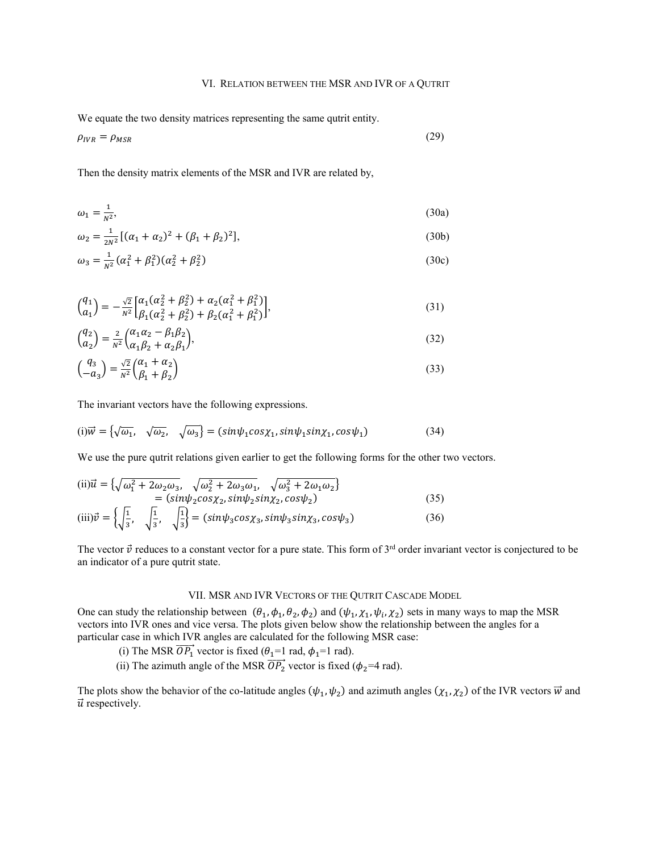## VI. RELATION BETWEEN THE MSR AND IVR OF A QUTRIT

We equate the two density matrices representing the same qutrit entity.

$$
\rho_{IVR} = \rho_{MSR} \tag{29}
$$

Then the density matrix elements of the MSR and IVR are related by,

$$
\omega_1 = \frac{1}{N^2},\tag{30a}
$$

$$
\omega_2 = \frac{1}{2N^2} [(\alpha_1 + \alpha_2)^2 + (\beta_1 + \beta_2)^2],\tag{30b}
$$

$$
\omega_3 = \frac{1}{N^2} (\alpha_1^2 + \beta_1^2)(\alpha_2^2 + \beta_2^2)
$$
\n(30c)

$$
\begin{aligned}\n\binom{q_1}{a_1} &= -\frac{\sqrt{2}}{N^2} \bigg[ \frac{\alpha_1(\alpha_2^2 + \beta_2^2) + \alpha_2(\alpha_1^2 + \beta_1^2)}{\beta_1(\alpha_2^2 + \beta_2^2) + \beta_2(\alpha_1^2 + \beta_1^2)} \bigg],\n\end{aligned} \tag{31}
$$

$$
\begin{pmatrix} q_2 \\ a_2 \end{pmatrix} = \frac{2}{N^2} \begin{pmatrix} \alpha_1 \alpha_2 - \beta_1 \beta_2 \\ \alpha_1 \beta_2 + \alpha_2 \beta_1 \end{pmatrix},\tag{32}
$$

$$
\begin{pmatrix} q_3 \\ -a_3 \end{pmatrix} = \frac{\sqrt{2}}{N^2} \begin{pmatrix} \alpha_1 + \alpha_2 \\ \beta_1 + \beta_2 \end{pmatrix}
$$
\n(33)

The invariant vectors have the following expressions.

$$
(i)\vec{w} = \{\sqrt{\omega_1}, \quad \sqrt{\omega_2}, \quad \sqrt{\omega_3}\} = (sin\psi_1 cos\chi_1, sin\psi_1 sin\chi_1, cos\psi_1)
$$
\n(34)

We use the pure qutrit relations given earlier to get the following forms for the other two vectors.

$$
\begin{aligned}\n\text{(ii)}\vec{u} &= \left\{ \sqrt{\omega_1^2 + 2\omega_2\omega_3}, \quad \sqrt{\omega_2^2 + 2\omega_3\omega_1}, \quad \sqrt{\omega_3^2 + 2\omega_1\omega_2} \right\} \\
&= (\sin\psi_2 \cos\chi_2, \sin\psi_2 \sin\chi_2, \cos\psi_2) \\
\text{(iii)}\vec{v} &= \left\{ \sqrt{\frac{1}{3}}, \quad \sqrt{\frac{1}{3}}, \quad \sqrt{\frac{1}{3}} \right\} = (\sin\psi_3 \cos\chi_3, \sin\psi_3 \sin\chi_3, \cos\psi_3)\n\end{aligned}\n\tag{36}
$$

The vector  $\vec{v}$  reduces to a constant vector for a pure state. This form of 3<sup>rd</sup> order invariant vector is conjectured to be an indicator of a pure qutrit state.

## VII. MSR AND IVR VECTORS OF THE QUTRIT CASCADE MODEL

One can study the relationship between  $(\theta_1, \phi_1, \theta_2, \phi_2)$  and  $(\psi_1, \chi_1, \psi_i, \chi_2)$  sets in many ways to map the MSR vectors into IVR ones and vice versa. The plots given below show the relationship between the angles for a particular case in which IVR angles are calculated for the following MSR case:

- (i) The MSR  $\overrightarrow{OP_1}$  vector is fixed ( $\theta_1=1$  rad,  $\phi_1=1$  rad).
- (ii) The azimuth angle of the MSR  $\overrightarrow{OP_2}$  vector is fixed ( $\phi_2$ =4 rad).

The plots show the behavior of the co-latitude angles  $(\psi_1, \psi_2)$  and azimuth angles  $(\chi_1, \chi_2)$  of the IVR vectors  $\vec{w}$  and  $\vec{u}$  respectively.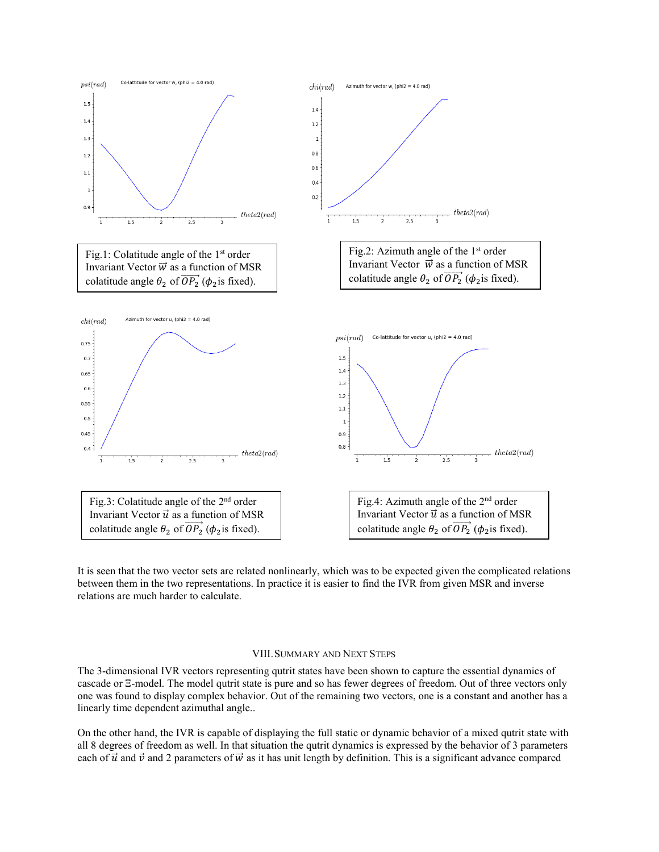

It is seen that the two vector sets are related nonlinearly, which was to be expected given the complicated relations between them in the two representations. In practice it is easier to find the IVR from given MSR and inverse relations are much harder to calculate.

#### VIII.SUMMARY AND NEXT STEPS

The 3-dimensional IVR vectors representing qutrit states have been shown to capture the essential dynamics of cascade or Ξ-model. The model qutrit state is pure and so has fewer degrees of freedom. Out of three vectors only one was found to display complex behavior. Out of the remaining two vectors, one is a constant and another has a linearly time dependent azimuthal angle..

On the other hand, the IVR is capable of displaying the full static or dynamic behavior of a mixed qutrit state with all 8 degrees of freedom as well. In that situation the qutrit dynamics is expressed by the behavior of 3 parameters each of  $\vec{u}$  and  $\vec{v}$  and 2 parameters of  $\vec{w}$  as it has unit length by definition. This is a significant advance compared